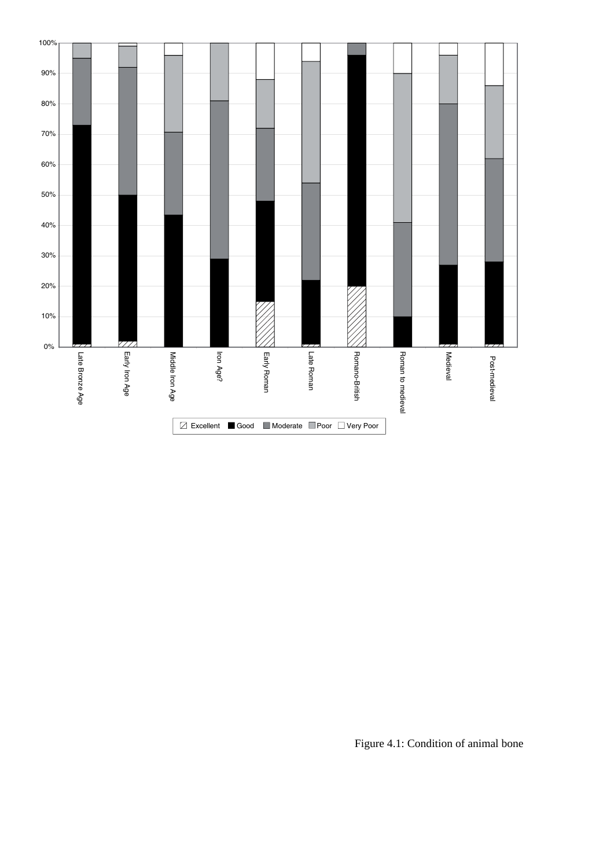

Figure 4.1: Condition of animal bone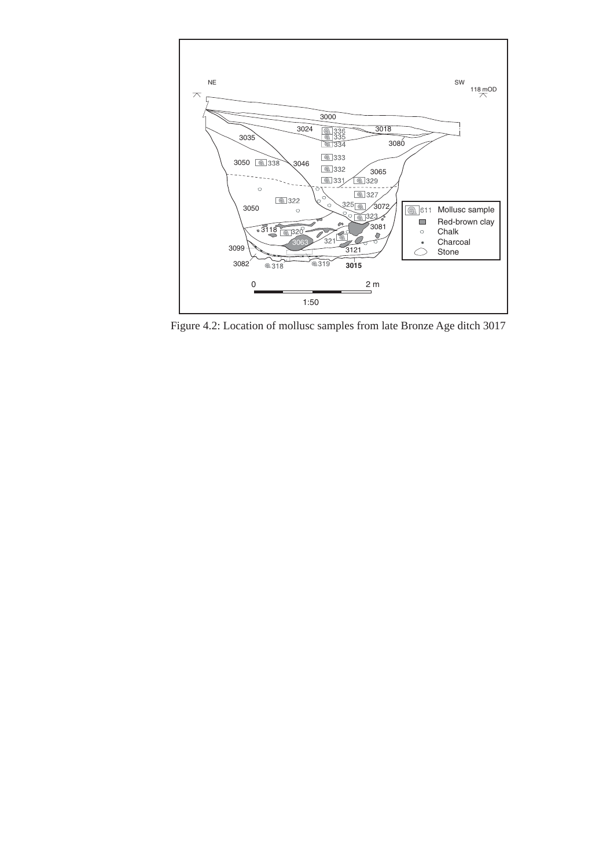

Figure 4.2: Location of mollusc samples from late Bronze Age ditch 3017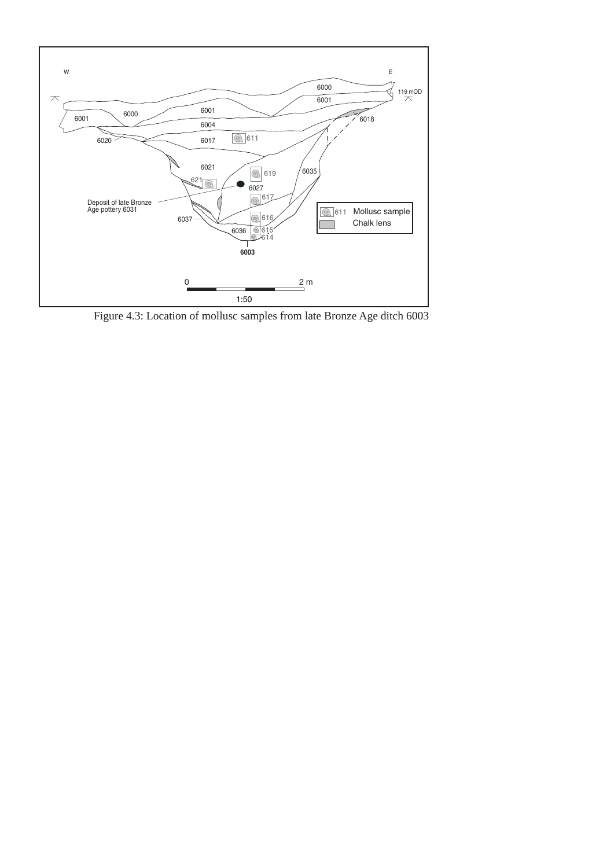

Figure 4.3: Location of mollusc samples from late Bronze Age ditch 6003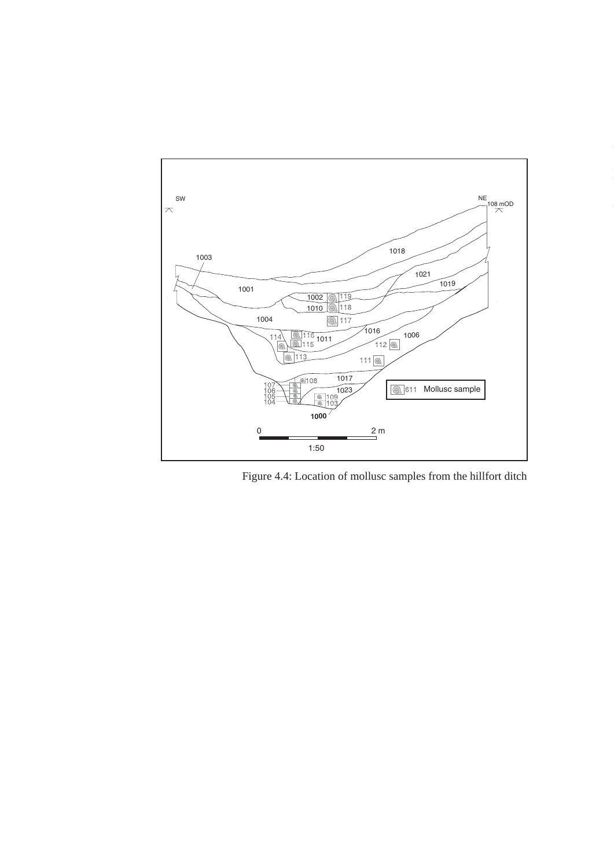

Figure 4.4: Location of mollusc samples from the hillfort ditch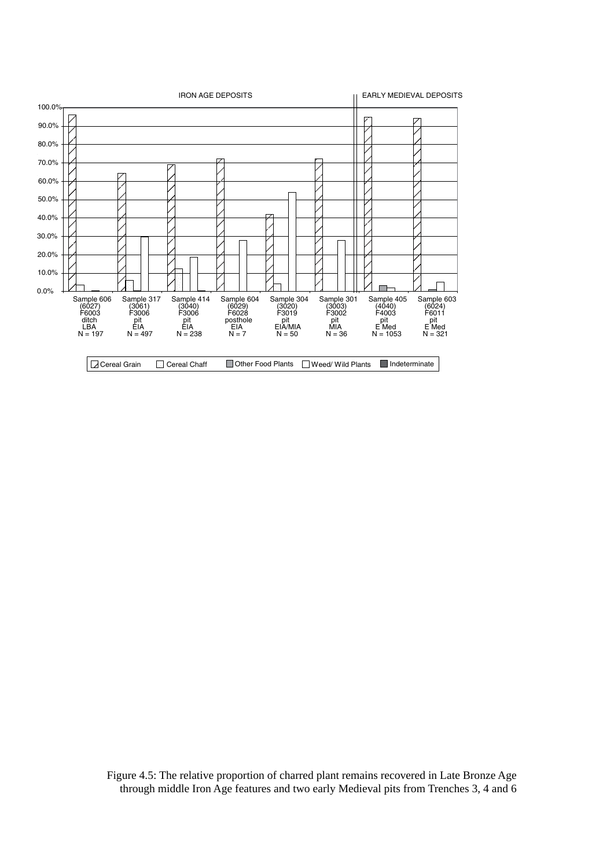

Figure 4.5: The relative proportion of charred plant remains recovered in Late Bronze Age through middle Iron Age features and two early Medieval pits from Trenches 3, 4 and 6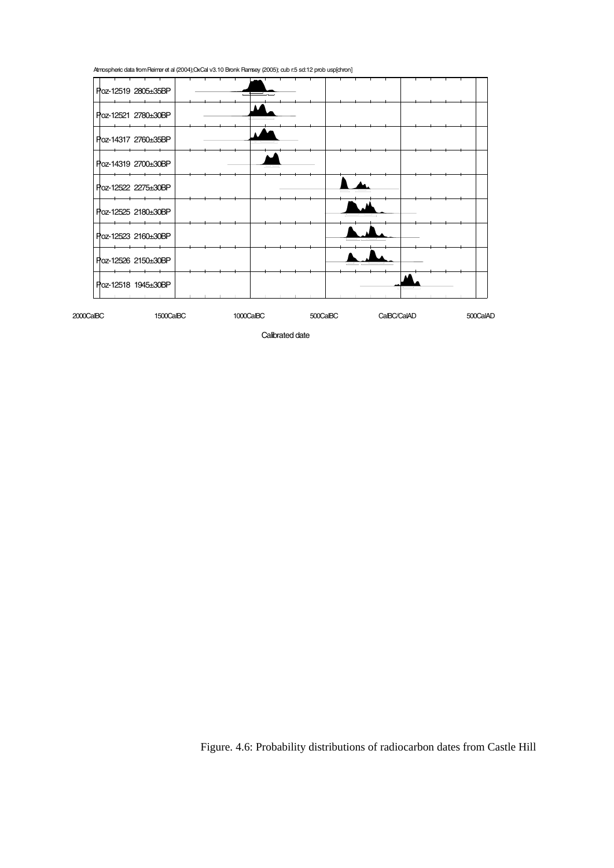Atmospheric data fromReimer et al (2004);OxCal v3.10 Bronk Ramsey (2005); cub r:5 sd:12 prob usp[chron]



Calibrated date

Figure. 4.6: Probability distributions of radiocarbon dates from Castle Hill